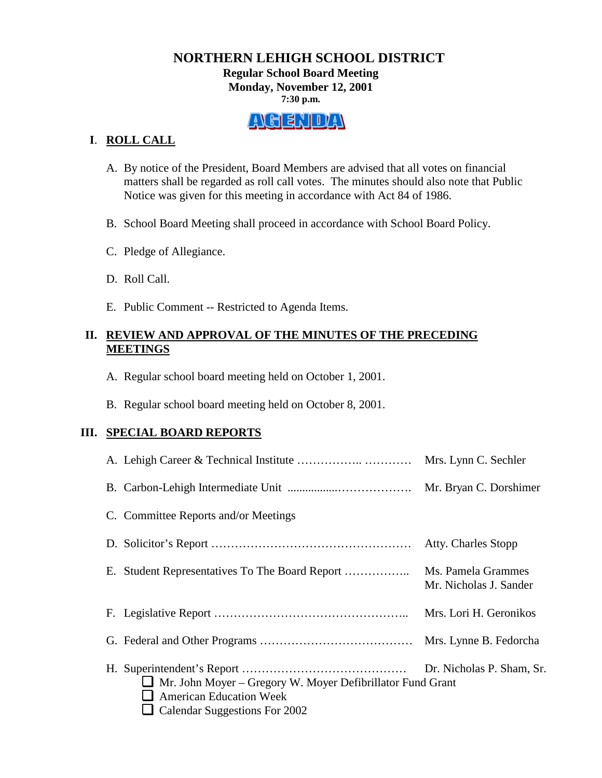#### **NORTHERN LEHIGH SCHOOL DISTRICT Regular School Board Meeting Monday, November 12, 2001 7:30 p.m.**



# **I**. **ROLL CALL**

- A. By notice of the President, Board Members are advised that all votes on financial matters shall be regarded as roll call votes. The minutes should also note that Public Notice was given for this meeting in accordance with Act 84 of 1986.
- B. School Board Meeting shall proceed in accordance with School Board Policy.
- C. Pledge of Allegiance.
- D. Roll Call.
- E. Public Comment -- Restricted to Agenda Items.

# **II. REVIEW AND APPROVAL OF THE MINUTES OF THE PRECEDING MEETINGS**

- A. Regular school board meeting held on October 1, 2001.
- B. Regular school board meeting held on October 8, 2001.

# **III. SPECIAL BOARD REPORTS**

|                                                                                                                                    | Mrs. Lynn C. Sechler                         |
|------------------------------------------------------------------------------------------------------------------------------------|----------------------------------------------|
|                                                                                                                                    |                                              |
| C. Committee Reports and/or Meetings                                                                                               |                                              |
|                                                                                                                                    | Atty. Charles Stopp                          |
|                                                                                                                                    | Ms. Pamela Grammes<br>Mr. Nicholas J. Sander |
|                                                                                                                                    | Mrs. Lori H. Geronikos                       |
|                                                                                                                                    |                                              |
| Mr. John Moyer – Gregory W. Moyer Defibrillator Fund Grant<br>ப<br><b>American Education Week</b><br>Calendar Suggestions For 2002 |                                              |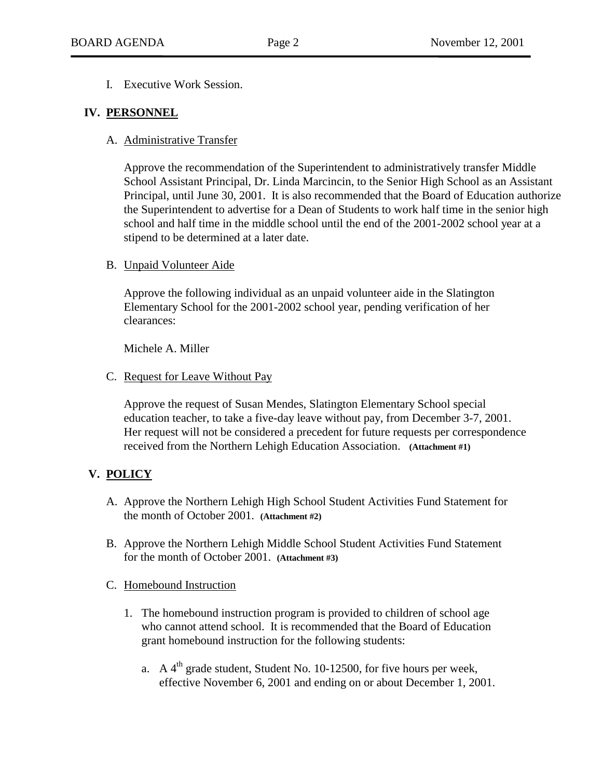I. Executive Work Session.

#### **IV. PERSONNEL**

A. Administrative Transfer

Approve the recommendation of the Superintendent to administratively transfer Middle School Assistant Principal, Dr. Linda Marcincin, to the Senior High School as an Assistant Principal, until June 30, 2001. It is also recommended that the Board of Education authorize the Superintendent to advertise for a Dean of Students to work half time in the senior high school and half time in the middle school until the end of the 2001-2002 school year at a stipend to be determined at a later date.

#### B. Unpaid Volunteer Aide

Approve the following individual as an unpaid volunteer aide in the Slatington Elementary School for the 2001-2002 school year, pending verification of her clearances:

Michele A. Miller

C. Request for Leave Without Pay

Approve the request of Susan Mendes, Slatington Elementary School special education teacher, to take a five-day leave without pay, from December 3-7, 2001. Her request will not be considered a precedent for future requests per correspondence received from the Northern Lehigh Education Association. **(Attachment #1)**

# **V. POLICY**

- A. Approve the Northern Lehigh High School Student Activities Fund Statement for the month of October 2001. **(Attachment #2)**
- B. Approve the Northern Lehigh Middle School Student Activities Fund Statement for the month of October 2001. **(Attachment #3)**

#### C. Homebound Instruction

- 1. The homebound instruction program is provided to children of school age who cannot attend school. It is recommended that the Board of Education grant homebound instruction for the following students:
	- a. A  $4<sup>th</sup>$  grade student, Student No. 10-12500, for five hours per week, effective November 6, 2001 and ending on or about December 1, 2001.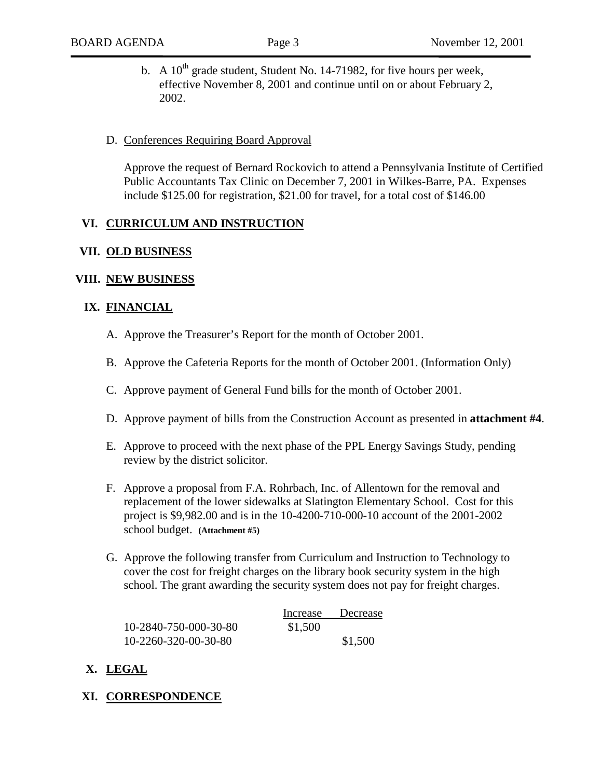b. A  $10^{th}$  grade student, Student No. 14-71982, for five hours per week, effective November 8, 2001 and continue until on or about February 2, 2002.

#### D. Conferences Requiring Board Approval

Approve the request of Bernard Rockovich to attend a Pennsylvania Institute of Certified Public Accountants Tax Clinic on December 7, 2001 in Wilkes-Barre, PA. Expenses include \$125.00 for registration, \$21.00 for travel, for a total cost of \$146.00

#### **VI. CURRICULUM AND INSTRUCTION**

#### **VII. OLD BUSINESS**

#### **VIII. NEW BUSINESS**

#### **IX. FINANCIAL**

- A. Approve the Treasurer's Report for the month of October 2001.
- B. Approve the Cafeteria Reports for the month of October 2001. (Information Only)
- C. Approve payment of General Fund bills for the month of October 2001.
- D. Approve payment of bills from the Construction Account as presented in **attachment #4**.
- E. Approve to proceed with the next phase of the PPL Energy Savings Study, pending review by the district solicitor.
- F. Approve a proposal from F.A. Rohrbach, Inc. of Allentown for the removal and replacement of the lower sidewalks at Slatington Elementary School. Cost for this project is \$9,982.00 and is in the 10-4200-710-000-10 account of the 2001-2002 school budget. **(Attachment #5)**
- G. Approve the following transfer from Curriculum and Instruction to Technology to cover the cost for freight charges on the library book security system in the high school. The grant awarding the security system does not pay for freight charges.

|                       | Increase | Decrease |
|-----------------------|----------|----------|
| 10-2840-750-000-30-80 | \$1,500  |          |
| 10-2260-320-00-30-80  |          | \$1,500  |

# **X. LEGAL**

# **XI. CORRESPONDENCE**